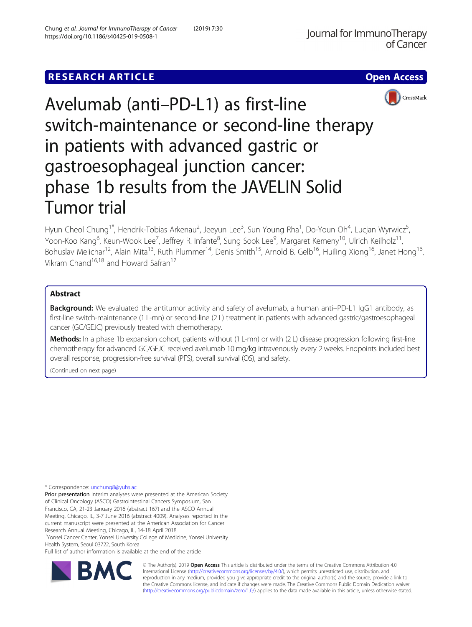# **RESEARCH ARTICLE Example 2014 12:30 The Contract of Contract ACCESS**





Avelumab (anti–PD-L1) as first-line switch-maintenance or second-line therapy in patients with advanced gastric or gastroesophageal junction cancer: phase 1b results from the JAVELIN Solid Tumor trial

Hyun Cheol Chung<sup>1\*</sup>, Hendrik-Tobias Arkenau<sup>2</sup>, Jeeyun Lee<sup>3</sup>, Sun Young Rha<sup>1</sup>, Do-Youn Oh<sup>4</sup>, Lucjan Wyrwicz<sup>5</sup> , Yoon-Koo Kang<sup>6</sup>, Keun-Wook Lee<sup>7</sup>, Jeffrey R. Infante<sup>8</sup>, Sung Sook Lee<sup>9</sup>, Margaret Kemeny<sup>10</sup>, Ulrich Keilholz<sup>11</sup>, Bohuslav Melichar<sup>12</sup>, Alain Mita<sup>13</sup>, Ruth Plummer<sup>14</sup>, Denis Smith<sup>15</sup>, Arnold B. Gelb<sup>16</sup>, Huiling Xiong<sup>16</sup>, Janet Hong<sup>16</sup>, Vikram Chand<sup>16,18</sup> and Howard Safran<sup>17</sup>

## Abstract

**Background:** We evaluated the antitumor activity and safety of avelumab, a human anti–PD-L1 IgG1 antibody, as first-line switch-maintenance (1 L-mn) or second-line (2 L) treatment in patients with advanced gastric/gastroesophageal cancer (GC/GEJC) previously treated with chemotherapy.

Methods: In a phase 1b expansion cohort, patients without (1 L-mn) or with (2 L) disease progression following first-line chemotherapy for advanced GC/GEJC received avelumab 10 mg/kg intravenously every 2 weeks. Endpoints included best overall response, progression-free survival (PFS), overall survival (OS), and safety.

(Continued on next page)

\* Correspondence: [unchung8@yuhs.ac](mailto:unchung8@yuhs.ac)

Prior presentation Interim analyses were presented at the American Society of Clinical Oncology (ASCO) Gastrointestinal Cancers Symposium, San Francisco, CA, 21-23 January 2016 (abstract 167) and the ASCO Annual Meeting, Chicago, IL, 3-7 June 2016 (abstract 4009). Analyses reported in the current manuscript were presented at the American Association for Cancer Research Annual Meeting, Chicago, IL, 14-18 April 2018.

<sup>1</sup> Yonsei Cancer Center, Yonsei University College of Medicine, Yonsei University Health System, Seoul 03722, South Korea

Full list of author information is available at the end of the article



© The Author(s). 2019 **Open Access** This article is distributed under the terms of the Creative Commons Attribution 4.0 International License [\(http://creativecommons.org/licenses/by/4.0/](http://creativecommons.org/licenses/by/4.0/)), which permits unrestricted use, distribution, and reproduction in any medium, provided you give appropriate credit to the original author(s) and the source, provide a link to the Creative Commons license, and indicate if changes were made. The Creative Commons Public Domain Dedication waiver [\(http://creativecommons.org/publicdomain/zero/1.0/](http://creativecommons.org/publicdomain/zero/1.0/)) applies to the data made available in this article, unless otherwise stated.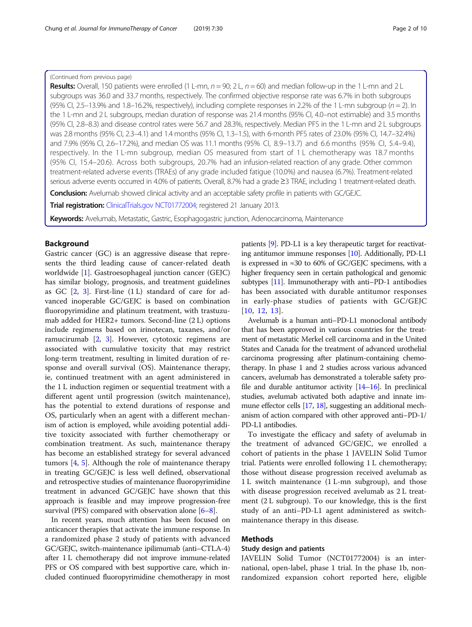## (Continued from previous page)

Results: Overall, 150 patients were enrolled (1 L-mn,  $n = 90$ ; 2 L,  $n = 60$ ) and median follow-up in the 1 L-mn and 2 L subgroups was 36.0 and 33.7 months, respectively. The confirmed objective response rate was 6.7% in both subgroups (95% CI, 2.5–13.9% and 1.8–16.2%, respectively), including complete responses in 2.2% of the 1 L-mn subgroup ( $n = 2$ ). In the 1 L-mn and 2 L subgroups, median duration of response was 21.4 months (95% CI, 4.0–not estimable) and 3.5 months (95% CI, 2.8–8.3) and disease control rates were 56.7 and 28.3%, respectively. Median PFS in the 1 L-mn and 2 L subgroups was 2.8 months (95% CI, 2.3–4.1) and 1.4 months (95% CI, 1.3–1.5), with 6-month PFS rates of 23.0% (95% CI, 14.7–32.4%) and 7.9% (95% CI, 2.6–17.2%), and median OS was 11.1 months (95% CI, 8.9–13.7) and 6.6 months (95% CI, 5.4–9.4), respectively. In the 1 L-mn subgroup, median OS measured from start of 1 L chemotherapy was 18.7 months (95% CI, 15.4–20.6). Across both subgroups, 20.7% had an infusion-related reaction of any grade. Other common treatment-related adverse events (TRAEs) of any grade included fatigue (10.0%) and nausea (6.7%). Treatment-related serious adverse events occurred in 4.0% of patients. Overall, 8.7% had a grade≥3 TRAE, including 1 treatment-related death.

**Conclusion:** Avelumab showed clinical activity and an acceptable safety profile in patients with GC/GEJC.

Trial registration: [ClinicalTrials.gov](http://clinicaltrials.gov) [NCT01772004](https://clinicaltrials.gov/ct2/show/NCT01772004); registered 21 January 2013.

Keywords: Avelumab, Metastatic, Gastric, Esophagogastric junction, Adenocarcinoma, Maintenance

## Background

Gastric cancer (GC) is an aggressive disease that represents the third leading cause of cancer-related death worldwide [[1\]](#page-8-0). Gastroesophageal junction cancer (GEJC) has similar biology, prognosis, and treatment guidelines as GC [\[2](#page-8-0), [3](#page-9-0)]. First-line (1 L) standard of care for advanced inoperable GC/GEJC is based on combination fluoropyrimidine and platinum treatment, with trastuzumab added for HER2+ tumors. Second-line (2 L) options include regimens based on irinotecan, taxanes, and/or ramucirumab [[2,](#page-8-0) [3](#page-9-0)]. However, cytotoxic regimens are associated with cumulative toxicity that may restrict long-term treatment, resulting in limited duration of response and overall survival (OS). Maintenance therapy, ie, continued treatment with an agent administered in the 1 L induction regimen or sequential treatment with a different agent until progression (switch maintenance), has the potential to extend durations of response and OS, particularly when an agent with a different mechanism of action is employed, while avoiding potential additive toxicity associated with further chemotherapy or combination treatment. As such, maintenance therapy has become an established strategy for several advanced tumors [\[4](#page-9-0), [5\]](#page-9-0). Although the role of maintenance therapy in treating GC/GEJC is less well defined, observational and retrospective studies of maintenance fluoropyrimidine treatment in advanced GC/GEJC have shown that this approach is feasible and may improve progression-free survival (PFS) compared with observation alone  $[6-8]$  $[6-8]$  $[6-8]$ .

In recent years, much attention has been focused on anticancer therapies that activate the immune response. In a randomized phase 2 study of patients with advanced GC/GEJC, switch-maintenance ipilimumab (anti–CTLA-4) after 1 L chemotherapy did not improve immune-related PFS or OS compared with best supportive care, which included continued fluoropyrimidine chemotherapy in most patients [\[9](#page-9-0)]. PD-L1 is a key therapeutic target for reactivating antitumor immune responses [\[10\]](#page-9-0). Additionally, PD-L1 is expressed in ≈30 to 60% of GC/GEJC specimens, with a higher frequency seen in certain pathological and genomic subtypes [\[11\]](#page-9-0). Immunotherapy with anti–PD-1 antibodies has been associated with durable antitumor responses in early-phase studies of patients with GC/GEJC [[10](#page-9-0), [12](#page-9-0), [13\]](#page-9-0).

Avelumab is a human anti–PD-L1 monoclonal antibody that has been approved in various countries for the treatment of metastatic Merkel cell carcinoma and in the United States and Canada for the treatment of advanced urothelial carcinoma progressing after platinum-containing chemotherapy. In phase 1 and 2 studies across various advanced cancers, avelumab has demonstrated a tolerable safety profile and durable antitumor activity  $[14–16]$  $[14–16]$  $[14–16]$  $[14–16]$  $[14–16]$ . In preclinical studies, avelumab activated both adaptive and innate immune effector cells [\[17](#page-9-0), [18](#page-9-0)], suggesting an additional mechanism of action compared with other approved anti–PD-1/ PD-L1 antibodies.

To investigate the efficacy and safety of avelumab in the treatment of advanced GC/GEJC, we enrolled a cohort of patients in the phase 1 JAVELIN Solid Tumor trial. Patients were enrolled following 1 L chemotherapy; those without disease progression received avelumab as 1 L switch maintenance (1 L-mn subgroup), and those with disease progression received avelumab as 2 L treatment (2 L subgroup). To our knowledge, this is the first study of an anti–PD-L1 agent administered as switchmaintenance therapy in this disease.

## Methods

### Study design and patients

JAVELIN Solid Tumor (NCT01772004) is an international, open-label, phase 1 trial. In the phase 1b, nonrandomized expansion cohort reported here, eligible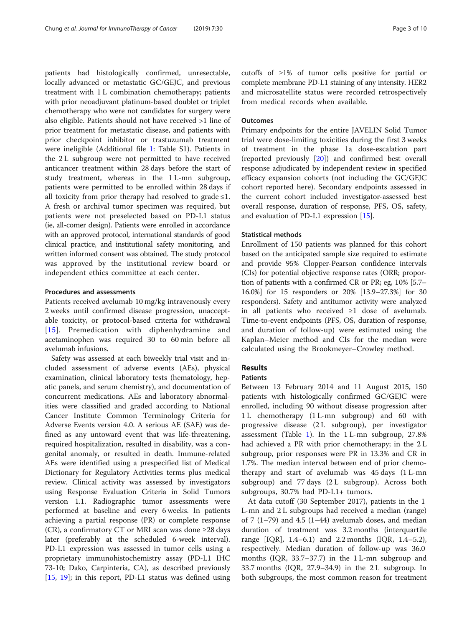patients had histologically confirmed, unresectable, locally advanced or metastatic GC/GEJC, and previous treatment with 1 L combination chemotherapy; patients with prior neoadjuvant platinum-based doublet or triplet chemotherapy who were not candidates for surgery were also eligible. Patients should not have received >1 line of prior treatment for metastatic disease, and patients with prior checkpoint inhibitor or trastuzumab treatment were ineligible (Additional file [1](#page-7-0): Table S1). Patients in the 2 L subgroup were not permitted to have received anticancer treatment within 28 days before the start of study treatment, whereas in the 1 L-mn subgroup, patients were permitted to be enrolled within 28 days if all toxicity from prior therapy had resolved to grade  $\leq 1$ . A fresh or archival tumor specimen was required, but patients were not preselected based on PD-L1 status (ie, all-comer design). Patients were enrolled in accordance with an approved protocol, international standards of good clinical practice, and institutional safety monitoring, and written informed consent was obtained. The study protocol was approved by the institutional review board or independent ethics committee at each center.

## Procedures and assessments

Patients received avelumab 10 mg/kg intravenously every 2 weeks until confirmed disease progression, unacceptable toxicity, or protocol-based criteria for withdrawal [[15\]](#page-9-0). Premedication with diphenhydramine and acetaminophen was required 30 to 60 min before all avelumab infusions.

Safety was assessed at each biweekly trial visit and included assessment of adverse events (AEs), physical examination, clinical laboratory tests (hematology, hepatic panels, and serum chemistry), and documentation of concurrent medications. AEs and laboratory abnormalities were classified and graded according to National Cancer Institute Common Terminology Criteria for Adverse Events version 4.0. A serious AE (SAE) was defined as any untoward event that was life-threatening, required hospitalization, resulted in disability, was a congenital anomaly, or resulted in death. Immune-related AEs were identified using a prespecified list of Medical Dictionary for Regulatory Activities terms plus medical review. Clinical activity was assessed by investigators using Response Evaluation Criteria in Solid Tumors version 1.1. Radiographic tumor assessments were performed at baseline and every 6 weeks. In patients achieving a partial response (PR) or complete response (CR), a confirmatory CT or MRI scan was done  $\geq 28$  days later (preferably at the scheduled 6-week interval). PD-L1 expression was assessed in tumor cells using a proprietary immunohistochemistry assay (PD-L1 IHC 73-10; Dako, Carpinteria, CA), as described previously [[15,](#page-9-0) [19\]](#page-9-0); in this report, PD-L1 status was defined using cutoffs of ≥1% of tumor cells positive for partial or complete membrane PD-L1 staining of any intensity. HER2 and microsatellite status were recorded retrospectively from medical records when available.

## **Outcomes**

Primary endpoints for the entire JAVELIN Solid Tumor trial were dose-limiting toxicities during the first 3 weeks of treatment in the phase 1a dose-escalation part (reported previously [[20\]](#page-9-0)) and confirmed best overall response adjudicated by independent review in specified efficacy expansion cohorts (not including the GC/GEJC cohort reported here). Secondary endpoints assessed in the current cohort included investigator-assessed best overall response, duration of response, PFS, OS, safety, and evaluation of PD-L1 expression [\[15](#page-9-0)].

## Statistical methods

Enrollment of 150 patients was planned for this cohort based on the anticipated sample size required to estimate and provide 95% Clopper-Pearson confidence intervals (CIs) for potential objective response rates (ORR; proportion of patients with a confirmed CR or PR; eg, 10% [5.7– 16.0%] for 15 responders or 20% [13.9–27.3%] for 30 responders). Safety and antitumor activity were analyzed in all patients who received ≥1 dose of avelumab. Time-to-event endpoints (PFS, OS, duration of response, and duration of follow-up) were estimated using the Kaplan–Meier method and CIs for the median were calculated using the Brookmeyer–Crowley method.

## Results

## Patients

Between 13 February 2014 and 11 August 2015, 150 patients with histologically confirmed GC/GEJC were enrolled, including 90 without disease progression after 1 L chemotherapy (1 L-mn subgroup) and 60 with progressive disease (2 L subgroup), per investigator assessment (Table [1](#page-3-0)). In the 1 L-mn subgroup, 27.8% had achieved a PR with prior chemotherapy; in the 2 L subgroup, prior responses were PR in 13.3% and CR in 1.7%. The median interval between end of prior chemotherapy and start of avelumab was 45 days (1 L-mn subgroup) and 77 days  $(2 L \text{ subgroup})$ . Across both subgroups, 30.7% had PD-L1+ tumors.

At data cutoff (30 September 2017), patients in the 1 L-mn and 2 L subgroups had received a median (range) of 7  $(1-79)$  and 4.5  $(1-44)$  avelumab doses, and median duration of treatment was 3.2 months (interquartile range [IQR], 1.4–6.1) and 2.2 months (IQR, 1.4–5.2), respectively. Median duration of follow-up was 36.0 months (IQR, 33.7–37.7) in the 1 L-mn subgroup and 33.7 months (IQR, 27.9–34.9) in the 2 L subgroup. In both subgroups, the most common reason for treatment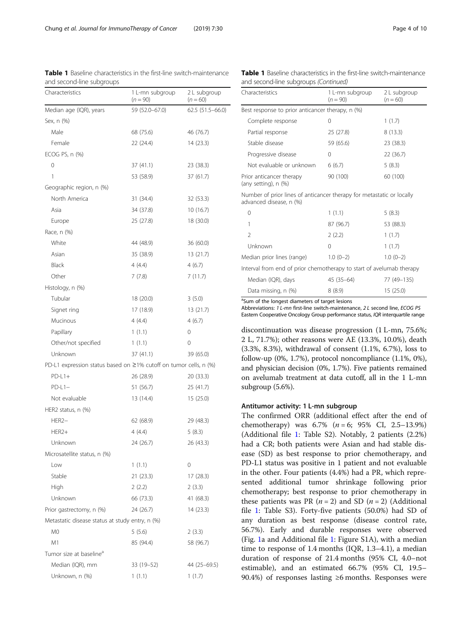<span id="page-3-0"></span>Table 1 Baseline characteristics in the first-line switch-maintenance

and second-line subgroups

| Characteristics                                                         | 1 L-mn subgroup<br>$(n = 90)$ | 2 L subgroup<br>$(n = 60)$ |  |  |
|-------------------------------------------------------------------------|-------------------------------|----------------------------|--|--|
| Median age (IQR), years                                                 | 59 (52.0-67.0)                | 62.5 (51.5-66.0)           |  |  |
| Sex, n (%)                                                              |                               |                            |  |  |
| Male                                                                    | 68 (75.6)                     | 46 (76.7)                  |  |  |
| Female                                                                  | 22 (24.4)                     | 14 (23.3)                  |  |  |
| ECOG PS, n (%)                                                          |                               |                            |  |  |
| 0                                                                       | 37(41.1)                      | 23 (38.3)                  |  |  |
| 1                                                                       | 53 (58.9)                     | 37 (61.7)                  |  |  |
| Geographic region, n (%)                                                |                               |                            |  |  |
| North America                                                           | 31 (34.4)                     | 32 (53.3)                  |  |  |
| Asia                                                                    | 34 (37.8)                     | 10(16.7)                   |  |  |
| Europe                                                                  | 25 (27.8)                     | 18 (30.0)                  |  |  |
| Race, n (%)                                                             |                               |                            |  |  |
| White                                                                   | 44 (48.9)                     | 36 (60.0)                  |  |  |
| Asian                                                                   | 35 (38.9)                     | 13 (21.7)                  |  |  |
| Black                                                                   | 4(4.4)                        | 4(6.7)                     |  |  |
| Other                                                                   | 7(7.8)                        | 7(11.7)                    |  |  |
| Histology, n (%)                                                        |                               |                            |  |  |
| Tubular                                                                 | 18 (20.0)                     | 3(5.0)                     |  |  |
| Signet ring                                                             | 17 (18.9)                     | 13 (21.7)                  |  |  |
| Mucinous                                                                | 4(4.4)                        | 4(6.7)                     |  |  |
| Papillary                                                               | 1(1.1)                        | 0                          |  |  |
| Other/not specified                                                     | 1(1.1)                        | 0                          |  |  |
| Unknown                                                                 | 37 (41.1)                     | 39 (65.0)                  |  |  |
| PD-L1 expression status based on $\geq$ 1% cutoff on tumor cells, n (%) |                               |                            |  |  |
| $PD-L1+$                                                                | 26 (28.9)                     | 20 (33.3)                  |  |  |
| $PD-L1-$                                                                | 51 (56.7)                     | 25 (41.7)                  |  |  |
| Not evaluable                                                           | 13 (14.4)                     | 15 (25.0)                  |  |  |
| HER2 status, $n$ $(\%)$                                                 |                               |                            |  |  |
| HER2-                                                                   | 62 (68.9)                     | 29 (48.3)                  |  |  |
| HER2+                                                                   | 4(4.4)                        | 5(8.3)                     |  |  |
| Unknown                                                                 | 24 (26.7)                     | 26 (43.3)                  |  |  |
| Microsatellite status, n (%)                                            |                               |                            |  |  |
| Low                                                                     | 1(1.1)                        | 0                          |  |  |
| Stable                                                                  | 21(23.3)                      | 17 (28.3)                  |  |  |
| High                                                                    | 2(2.2)                        | 2(3.3)                     |  |  |
| Unknown                                                                 | 66 (73.3)                     | 41 (68.3)                  |  |  |
| Prior gastrectomy, n (%)                                                | 24 (26.7)                     | 14 (23.3)                  |  |  |
| Metastatic disease status at study entry, n (%)                         |                               |                            |  |  |
| M <sub>0</sub>                                                          | 5(5.6)                        | 2(3.3)                     |  |  |
| M1                                                                      | 85 (94.4)                     | 58 (96.7)                  |  |  |
| Tumor size at baseline <sup>a</sup>                                     |                               |                            |  |  |
| Median (IQR), mm                                                        | 33 (19-52)                    | 44 (25-69.5)               |  |  |
| Unknown, n (%)                                                          | 1(1.1)                        | 1(1.7)                     |  |  |

Table 1 Baseline characteristics in the first-line switch-maintenance and second-line subgroups (Continued)

| Characteristics                                                                                  | 1 L-mn subgroup<br>$(n = 90)$ | 2 L subgroup<br>$(n = 60)$ |  |  |  |  |
|--------------------------------------------------------------------------------------------------|-------------------------------|----------------------------|--|--|--|--|
| Best response to prior anticancer therapy, n (%)                                                 |                               |                            |  |  |  |  |
| Complete response                                                                                | 0                             | 1(1.7)                     |  |  |  |  |
| Partial response                                                                                 | 25 (27.8)                     | 8(13.3)                    |  |  |  |  |
| Stable disease                                                                                   | 59 (65.6)                     | 23 (38.3)                  |  |  |  |  |
| Progressive disease                                                                              | 0                             | 22 (36.7)                  |  |  |  |  |
| Not evaluable or unknown                                                                         | 6(6.7)                        | 5(8.3)                     |  |  |  |  |
| Prior anticancer therapy<br>(any setting), n (%)                                                 | 90 (100)                      | 60 (100)                   |  |  |  |  |
| Number of prior lines of anticancer therapy for metastatic or locally<br>advanced disease, n (%) |                               |                            |  |  |  |  |
| 0                                                                                                | 1(1.1)                        | 5(8.3)                     |  |  |  |  |
| 1                                                                                                | 87 (96.7)                     | 53 (88.3)                  |  |  |  |  |
| $\mathfrak{D}$                                                                                   | 2(2.2)                        | 1(1.7)                     |  |  |  |  |
| Unknown                                                                                          | 0                             | 1(1.7)                     |  |  |  |  |
| Median prior lines (range)                                                                       | $1.0(0-2)$                    | $1.0(0-2)$                 |  |  |  |  |
| Interval from end of prior chemotherapy to start of avelumab therapy                             |                               |                            |  |  |  |  |
| Median (IQR), days                                                                               | $45(35-64)$                   | 77 (49–135)                |  |  |  |  |
| Data missing, n (%)                                                                              | 8(8.9)                        | 15 (25.0)                  |  |  |  |  |

<sup>a</sup>Sum of the longest diameters of target lesions

Abbreviations: 1 L-mn first-line switch-maintenance, 2 L second line, ECOG PS Eastern Cooperative Oncology Group performance status, IQR interquartile range

discontinuation was disease progression (1 L-mn, 75.6%; 2 L, 71.7%); other reasons were AE (13.3%, 10.0%), death (3.3%, 8.3%), withdrawal of consent (1.1%, 6.7%), loss to follow-up (0%, 1.7%), protocol noncompliance (1.1%, 0%), and physician decision (0%, 1.7%). Five patients remained on avelumab treatment at data cutoff, all in the 1 L-mn subgroup (5.6%).

## Antitumor activity: 1 L-mn subgroup

The confirmed ORR (additional effect after the end of chemotherapy) was  $6.7\%$  ( $n = 6$ ;  $95\%$  CI,  $2.5-13.9\%$ ) (Additional file [1:](#page-7-0) Table S2). Notably, 2 patients (2.2%) had a CR; both patients were Asian and had stable disease (SD) as best response to prior chemotherapy, and PD-L1 status was positive in 1 patient and not evaluable in the other. Four patients (4.4%) had a PR, which represented additional tumor shrinkage following prior chemotherapy; best response to prior chemotherapy in these patients was PR  $(n = 2)$  and SD  $(n = 2)$  (Additional file [1](#page-7-0): Table S3). Forty-five patients (50.0%) had SD of any duration as best response (disease control rate, 56.7%). Early and durable responses were observed (Fig. [1](#page-4-0)a and Additional file [1:](#page-7-0) Figure S1A), with a median time to response of 1.4 months (IQR, 1.3–4.1), a median duration of response of 21.4 months (95% CI, 4.0–not estimable), and an estimated 66.7% (95% CI, 19.5– 90.4%) of responses lasting ≥6 months. Responses were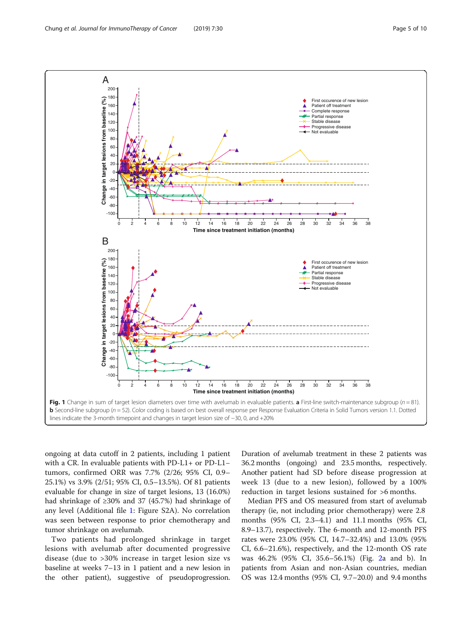ongoing at data cutoff in 2 patients, including 1 patient with a CR. In evaluable patients with PD-L1+ or PD-L1− tumors, confirmed ORR was 7.7% (2/26; 95% CI, 0.9– 25.1%) vs 3.9% (2/51; 95% CI, 0.5–13.5%). Of 81 patients evaluable for change in size of target lesions, 13 (16.0%) had shrinkage of ≥30% and 37 (45.7%) had shrinkage of any level (Additional file [1](#page-7-0): Figure S2A). No correlation was seen between response to prior chemotherapy and tumor shrinkage on avelumab.

Two patients had prolonged shrinkage in target lesions with avelumab after documented progressive disease (due to >30% increase in target lesion size vs baseline at weeks 7–13 in 1 patient and a new lesion in the other patient), suggestive of pseudoprogression. Duration of avelumab treatment in these 2 patients was 36.2 months (ongoing) and 23.5 months, respectively. Another patient had SD before disease progression at week 13 (due to a new lesion), followed by a 100% reduction in target lesions sustained for >6 months.

Median PFS and OS measured from start of avelumab therapy (ie, not including prior chemotherapy) were 2.8 months (95% CI, 2.3–4.1) and 11.1 months (95% CI, 8.9–13.7), respectively. The 6-month and 12-month PFS rates were 23.0% (95% CI, 14.7–32.4%) and 13.0% (95% CI, 6.6–21.6%), respectively, and the 12-month OS rate was 46.2% (95% CI, 35.6–56.1%) (Fig. [2a](#page-5-0) and b). In patients from Asian and non-Asian countries, median OS was 12.4 months (95% CI, 9.7–20.0) and 9.4 months

<span id="page-4-0"></span>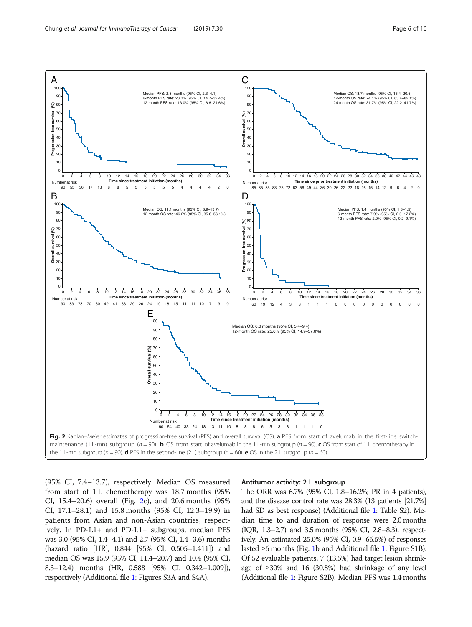<span id="page-5-0"></span>

(95% CI, 7.4–13.7), respectively. Median OS measured from start of 1 L chemotherapy was 18.7 months (95% CI, 15.4–20.6) overall (Fig. 2c), and 20.6 months (95% CI, 17.1–28.1) and 15.8 months (95% CI, 12.3–19.9) in patients from Asian and non-Asian countries, respectively. In PD-L1+ and PD-L1− subgroups, median PFS was 3.0 (95% CI, 1.4–4.1) and 2.7 (95% CI, 1.4–3.6) months (hazard ratio [HR], 0.844 [95% CI, 0.505–1.411]) and median OS was 15.9 (95% CI, 11.4–20.7) and 10.4 (95% CI, 8.3–12.4) months (HR, 0.588 [95% CI, 0.342–1.009]), respectively (Additional file [1](#page-7-0): Figures S3A and S4A).

## Antitumor activity: 2 L subgroup

The ORR was 6.7% (95% CI, 1.8–16.2%; PR in 4 patients), and the disease control rate was 28.3% (13 patients [21.7%] had SD as best response) (Additional file [1:](#page-7-0) Table S2). Median time to and duration of response were 2.0 months (IQR, 1.3–2.7) and 3.5 months (95% CI, 2.8–8.3), respectively. An estimated 25.0% (95% CI, 0.9–66.5%) of responses lasted ≥6 months (Fig. [1](#page-7-0)b and Additional file 1: Figure S1B). Of 52 evaluable patients, 7 (13.5%) had target lesion shrinkage of ≥30% and 16 (30.8%) had shrinkage of any level (Additional file [1:](#page-7-0) Figure S2B). Median PFS was 1.4 months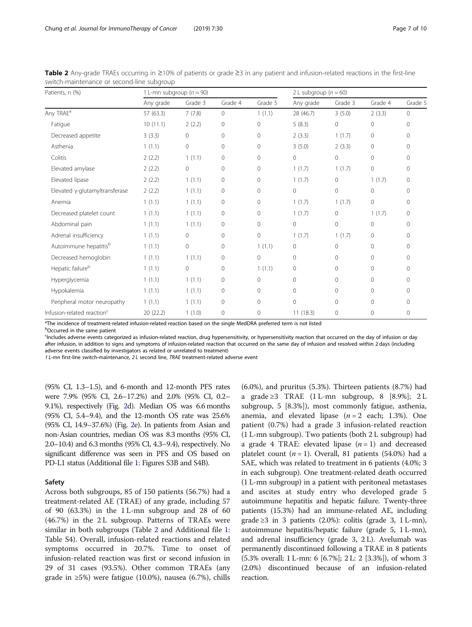| Patients, n (%)                        | 1 L-mn subgroup ( $n = 90$ ) |         |              |              | 2 L subgroup $(n = 60)$ |              |                |          |
|----------------------------------------|------------------------------|---------|--------------|--------------|-------------------------|--------------|----------------|----------|
|                                        | Any grade                    | Grade 3 | Grade 4      | Grade 5      | Any grade               | Grade 3      | Grade 4        | Grade 5  |
| Any TRAE <sup>a</sup>                  | 57 (63.3)                    | 7(7.8)  | $\Omega$     | 1(1.1)       | 28 (46.7)               | 3(5.0)       | 2(3.3)         | $\Omega$ |
| Fatigue                                | 10(11.1)                     | 2(2.2)  | $\mathbf{0}$ | $\mathbf{0}$ | 5(8.3)                  | $\mathbf{0}$ | $\mathbf{0}$   | $\Omega$ |
| Decreased appetite                     | 3(3.3)                       | 0       | $\mathbf 0$  | $\circ$      | 2(3.3)                  | 1(1.7)       | $\overline{0}$ | $\Omega$ |
| Asthenia                               | 1(1.1)                       | 0       | $\Omega$     | $\Omega$     | 3(5.0)                  | 2(3.3)       | $\overline{0}$ | $\Omega$ |
| Colitis                                | 2(2.2)                       | 1(1.1)  | $\mathbf{0}$ | $\circ$      | $\mathbf{0}$            | 0            | $\mathbf 0$    | $\Omega$ |
| Elevated amylase                       | 2(2.2)                       | 0       | $\mathbf{0}$ | 0            | 1(1.7)                  | 1(1.7)       | $\mathbf 0$    | $\Omega$ |
| Elevated lipase                        | 2(2.2)                       | 1(1.1)  | 0            | 0            | 1(1.7)                  | $\mathbf{0}$ | 1(1.7)         | $\Omega$ |
| Elevated y-glutamyltransferase         | 2(2.2)                       | 1(1.1)  | 0            | $\circ$      | $\mathbf 0$             | $\mathbf{0}$ | 0              | $\Omega$ |
| Anemia                                 | 1(1.1)                       | 1(1.1)  | $\mathbf{0}$ | 0            | 1(1.7)                  | 1(1.7)       | $\mathbf 0$    | $\Omega$ |
| Decreased platelet count               | 1(1.1)                       | 1(1.1)  | $\mathbf{0}$ | $\Omega$     | 1(1.7)                  | 0            | 1(1.7)         | $\Omega$ |
| Abdominal pain                         | 1(1.1)                       | 1(1.1)  | $\mathbf{0}$ | 0            | $\mathbf{0}$            | 0            | $\mathbf{0}$   | $\Omega$ |
| Adrenal insufficiency                  | 1(1.1)                       | 0       | $\mathbf{0}$ | $\circ$      | 1(1.7)                  | 1(1.7)       | $\mathbf{0}$   | $\Omega$ |
| Autoimmune hepatitisb                  | 1(1.1)                       | $\circ$ | 0            | 1(1.1)       | $\circ$                 | 0            | $\mathbf{0}$   | $\Omega$ |
| Decreased hemoglobin                   | 1(1.1)                       | 1(1.1)  | 0            | 0            | $\circ$                 | $\Omega$     | $\mathbf{0}$   | $\Omega$ |
| Hepatic failure <sup>b</sup>           | 1(1.1)                       | 0       | $\Omega$     | 1(1.1)       | $\Omega$                | $\Omega$     | $\Omega$       | $\cap$   |
| Hyperglycemia                          | 1(1.1)                       | 1(1.1)  | 0            | $\circ$      | $\circ$                 | $\Omega$     | $\mathbf{0}$   | $\Omega$ |
| Hypokalemia                            | 1(1.1)                       | 1(1.1)  | $\circ$      | 0            | $\circ$                 | $\Omega$     | $\mathbf{0}$   | $\Omega$ |
| Peripheral motor neuropathy            | 1(1.1)                       | 1(1.1)  | $\mathbf{0}$ | 0            | $\mathbf{0}$            | $\Omega$     | $\mathbf{0}$   | $\Omega$ |
| Infusion-related reaction <sup>c</sup> | 20(22.2)                     | 1(1.0)  | $\mathbf{0}$ | 0            | 11(18.3)                | $\Omega$     | $\mathbf{0}$   | $\Omega$ |

Table 2 Any-grade TRAEs occurring in ≥10% of patients or grade ≥3 in any patient and infusion-related reactions in the first-line switch-maintenance or second-line subgroup

<sup>a</sup>The incidence of treatment-related infusion-related reaction based on the single MedDRA preferred term is not listed

**b**Occurred in the same patient

<sup>c</sup>Includes adverse events categorized as infusion-related reaction, drug hypersensitivity, or hypersensitivity reaction that occurred on the day of infusion or day after infusion, in addition to signs and symptoms of infusion-related reaction that occurred on the same day of infusion and resolved within 2 days (including adverse events classified by investigators as related or unrelated to treatment)

1 L-mn first-line switch-maintenance, 2 L second line, TRAE treatment-related adverse event

(95% CI, 1.3–1.5), and 6-month and 12-month PFS rates were 7.9% (95% CI, 2.6–17.2%) and 2.0% (95% CI, 0.2– 9.1%), respectively (Fig. [2d](#page-5-0)). Median OS was 6.6 months (95% CI, 5.4–9.4), and the 12-month OS rate was 25.6% (95% CI, 14.9–37.6%) (Fig. [2e](#page-5-0)). In patients from Asian and non-Asian countries, median OS was 8.3 months (95% CI, 2.0–10.4) and 6.3 months (95% CI, 4.3–9.4), respectively. No significant difference was seen in PFS and OS based on PD-L1 status (Additional file [1:](#page-7-0) Figures S3B and S4B).

## Safety

Across both subgroups, 85 of 150 patients (56.7%) had a treatment-related AE (TRAE) of any grade, including 57 of 90  $(63.3%)$  in the 1 L-mn subgroup and 28 of 60  $(46.7%)$  in the 2L subgroup. Patterns of TRAEs were similar in both subgroups (Table 2 and Additional file [1](#page-7-0): Table S4). Overall, infusion-related reactions and related symptoms occurred in 20.7%. Time to onset of infusion-related reaction was first or second infusion in 29 of 31 cases (93.5%). Other common TRAEs (any grade in ≥5%) were fatigue (10.0%), nausea (6.7%), chills

(6.0%), and pruritus (5.3%). Thirteen patients (8.7%) had a grade ≥3 TRAE (1 L-mn subgroup, 8 [8.9%]; 2 L subgroup, 5 [8.3%]), most commonly fatigue, asthenia, anemia, and elevated lipase  $(n = 2 \text{ each}; 1.3\%)$ . One patient (0.7%) had a grade 3 infusion-related reaction (1 L-mn subgroup). Two patients (both 2 L subgroup) had a grade 4 TRAE: elevated lipase  $(n = 1)$  and decreased platelet count  $(n = 1)$ . Overall, 81 patients (54.0%) had a SAE, which was related to treatment in 6 patients (4.0%; 3 in each subgroup). One treatment-related death occurred (1 L-mn subgroup) in a patient with peritoneal metastases and ascites at study entry who developed grade 5 autoimmune hepatitis and hepatic failure. Twenty-three patients (15.3%) had an immune-related AE, including grade ≥3 in 3 patients  $(2.0%)$ : colitis (grade 3, 1 L-mn), autoimmune hepatitis/hepatic failure (grade 5, 1 L-mn), and adrenal insufficiency (grade 3, 2 L). Avelumab was permanently discontinued following a TRAE in 8 patients (5.3% overall; 1 L-mn: 6 [6.7%]; 2 L: 2 [3.3%]), of whom 3 (2.0%) discontinued because of an infusion-related reaction.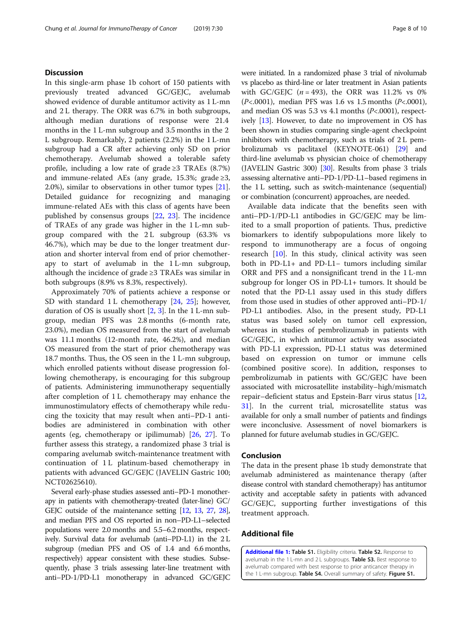## <span id="page-7-0"></span>**Discussion**

In this single-arm phase 1b cohort of 150 patients with previously treated advanced GC/GEJC, avelumab showed evidence of durable antitumor activity as 1 L-mn and 2 L therapy. The ORR was 6.7% in both subgroups, although median durations of response were 21.4 months in the 1 L-mn subgroup and 3.5 months in the 2 L subgroup. Remarkably, 2 patients (2.2%) in the 1 L-mn subgroup had a CR after achieving only SD on prior chemotherapy. Avelumab showed a tolerable safety profile, including a low rate of grade ≥3 TRAEs (8.7%) and immune-related AEs (any grade, 15.3%; grade  $\geq 3$ , 2.0%), similar to observations in other tumor types [\[21](#page-9-0)]. Detailed guidance for recognizing and managing immune-related AEs with this class of agents have been published by consensus groups [\[22](#page-9-0), [23\]](#page-9-0). The incidence of TRAEs of any grade was higher in the 1 L-mn subgroup compared with the 2L subgroup (63.3% vs 46.7%), which may be due to the longer treatment duration and shorter interval from end of prior chemotherapy to start of avelumab in the 1 L-mn subgroup, although the incidence of grade ≥3 TRAEs was similar in both subgroups (8.9% vs 8.3%, respectively).

Approximately 70% of patients achieve a response or SD with standard 1 L chemotherapy [\[24](#page-9-0), [25\]](#page-9-0); however, duration of OS is usually short [\[2](#page-8-0), [3](#page-9-0)]. In the 1 L-mn subgroup, median PFS was 2.8 months (6-month rate, 23.0%), median OS measured from the start of avelumab was 11.1 months (12-month rate, 46.2%), and median OS measured from the start of prior chemotherapy was 18.7 months. Thus, the OS seen in the 1 L-mn subgroup, which enrolled patients without disease progression following chemotherapy, is encouraging for this subgroup of patients. Administering immunotherapy sequentially after completion of 1 L chemotherapy may enhance the immunostimulatory effects of chemotherapy while reducing the toxicity that may result when anti–PD-1 antibodies are administered in combination with other agents (eg, chemotherapy or ipilimumab) [[26,](#page-9-0) [27\]](#page-9-0). To further assess this strategy, a randomized phase 3 trial is comparing avelumab switch-maintenance treatment with continuation of 1L platinum-based chemotherapy in patients with advanced GC/GEJC (JAVELIN Gastric 100; NCT02625610).

Several early-phase studies assessed anti–PD-1 monotherapy in patients with chemotherapy-treated (later-line) GC/ GEJC outside of the maintenance setting [[12,](#page-9-0) [13](#page-9-0), [27,](#page-9-0) [28](#page-9-0)], and median PFS and OS reported in non–PD-L1–selected populations were 2.0 months and 5.5–6.2 months, respectively. Survival data for avelumab (anti–PD-L1) in the 2 L subgroup (median PFS and OS of 1.4 and 6.6 months, respectively) appear consistent with these studies. Subsequently, phase 3 trials assessing later-line treatment with anti–PD-1/PD-L1 monotherapy in advanced GC/GEJC were initiated. In a randomized phase 3 trial of nivolumab vs placebo as third-line or later treatment in Asian patients with GC/GEJC  $(n = 493)$ , the ORR was 11.2% vs 0% (P<.0001), median PFS was 1.6 vs 1.5 months (P<.0001), and median OS was 5.3 vs 4.1 months (P<.0001), respectively [\[13\]](#page-9-0). However, to date no improvement in OS has been shown in studies comparing single-agent checkpoint inhibitors with chemotherapy, such as trials of 2 L pembrolizumab vs paclitaxel (KEYNOTE-061) [\[29\]](#page-9-0) and third-line avelumab vs physician choice of chemotherapy (JAVELIN Gastric 300) [[30](#page-9-0)]. Results from phase 3 trials assessing alternative anti–PD-1/PD-L1–based regimens in the 1 L setting, such as switch-maintenance (sequential) or combination (concurrent) approaches, are needed.

Available data indicate that the benefits seen with anti–PD-1/PD-L1 antibodies in GC/GEJC may be limited to a small proportion of patients. Thus, predictive biomarkers to identify subpopulations more likely to respond to immunotherapy are a focus of ongoing research  $[10]$  $[10]$ . In this study, clinical activity was seen both in PD-L1+ and PD-L1− tumors including similar ORR and PFS and a nonsignificant trend in the 1 L-mn subgroup for longer OS in PD-L1+ tumors. It should be noted that the PD-L1 assay used in this study differs from those used in studies of other approved anti–PD-1/ PD-L1 antibodies. Also, in the present study, PD-L1 status was based solely on tumor cell expression, whereas in studies of pembrolizumab in patients with GC/GEJC, in which antitumor activity was associated with PD-L1 expression, PD-L1 status was determined based on expression on tumor or immune cells (combined positive score). In addition, responses to pembrolizumab in patients with GC/GEJC have been associated with microsatellite instability–high/mismatch repair–deficient status and Epstein-Barr virus status [[12](#page-9-0), [31\]](#page-9-0). In the current trial, microsatellite status was available for only a small number of patients and findings were inconclusive. Assessment of novel biomarkers is planned for future avelumab studies in GC/GEJC.

## Conclusion

The data in the present phase 1b study demonstrate that avelumab administered as maintenance therapy (after disease control with standard chemotherapy) has antitumor activity and acceptable safety in patients with advanced GC/GEJC, supporting further investigations of this treatment approach.

## Additional file

[Additional file 1:](https://doi.org/10.1186/s40425-019-0508-1) Table S1. Eligibility criteria. Table S2. Response to avelumab in the 1 L-mn and 2 L subgroups. Table S3. Best response to avelumab compared with best response to prior anticancer therapy in the 1 L-mn subgroup. Table S4. Overall summary of safety. Figure S1.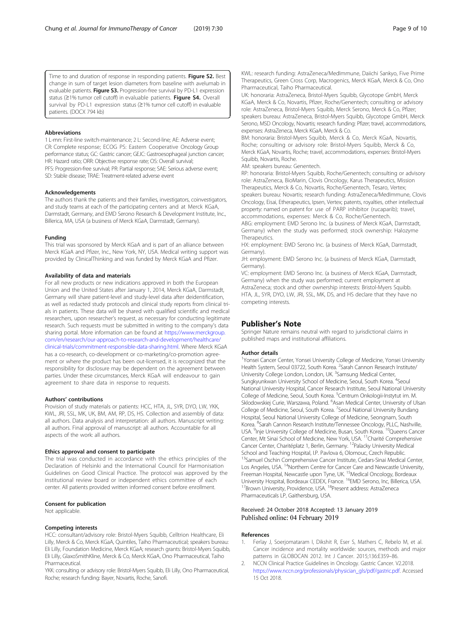#### <span id="page-8-0"></span>Abbreviations

1 L-mn: First-line switch-maintenance; 2 L: Second-line; AE: Adverse event; CR: Complete response; ECOG PS: Eastern Cooperative Oncology Group performance status; GC: Gastric cancer; GEJC: Gastroesophageal junction cancer; HR: Hazard ratio; ORR: Objective response rate; OS: Overall survival; PFS: Progression-free survival; PR: Partial response; SAE: Serious adverse event; SD: Stable disease; TRAE: Treatment-related adverse event

#### Acknowledgements

The authors thank the patients and their families, investigators, coinvestigators, and study teams at each of the participating centers and at Merck KGaA, Darmstadt, Germany, and EMD Serono Research & Development Institute, Inc., Billerica, MA, USA (a business of Merck KGaA, Darmstadt, Germany).

#### Funding

This trial was sponsored by Merck KGaA and is part of an alliance between Merck KGaA and Pfizer, Inc., New York, NY, USA. Medical writing support was provided by ClinicalThinking and was funded by Merck KGaA and Pfizer.

### Availability of data and materials

For all new products or new indications approved in both the European Union and the United States after January 1, 2014, Merck KGaA, Darmstadt, Germany will share patient-level and study-level data after deidentification, as well as redacted study protocols and clinical study reports from clinical trials in patients. These data will be shared with qualified scientific and medical researchers, upon researcher's request, as necessary for conducting legitimate research. Such requests must be submitted in writing to the company's data sharing portal. More information can be found at [https://www.merckgroup.](https://www.merckgroup.com/en/research/our-approach-to-research-and-development/healthcare/clinical-trials/commitment-responsible-data-sharing.html) [com/en/research/our-approach-to-research-and-development/healthcare/](https://www.merckgroup.com/en/research/our-approach-to-research-and-development/healthcare/clinical-trials/commitment-responsible-data-sharing.html) [clinical-trials/commitment-responsible-data-sharing.html](https://www.merckgroup.com/en/research/our-approach-to-research-and-development/healthcare/clinical-trials/commitment-responsible-data-sharing.html). Where Merck KGaA has a co-research, co-development or co-marketing/co-promotion agreement or where the product has been out-licensed, it is recognized that the responsibility for disclosure may be dependent on the agreement between parties. Under these circumstances, Merck KGaA will endeavour to gain agreement to share data in response to requests.

#### Authors' contributions

Provision of study materials or patients: HCC, HTA, JL, SYR, DYO, LW, YKK, KWL, JRI, SSL, MK, UK, BM, AM, RP, DS, HS. Collection and assembly of data: all authors. Data analysis and interpretation: all authors. Manuscript writing: all authors. Final approval of manuscript: all authors. Accountable for all aspects of the work: all authors.

#### Ethics approval and consent to participate

The trial was conducted in accordance with the ethics principles of the Declaration of Helsinki and the International Council for Harmonisation Guidelines on Good Clinical Practice. The protocol was approved by the institutional review board or independent ethics committee of each center. All patients provided written informed consent before enrollment.

#### Consent for publication

Not applicable.

#### Competing interests

HCC: consultant/advisory role: Bristol-Myers Squibb, Celltrion Healthcare, Eli Lilly, Merck & Co, Merck KGaA, Quintiles, Taiho Pharmaceutical; speakers bureau: Eli Lilly, Foundation Medicine, Merck KGaA; research grants: Bristol-Myers Squibb, Eli Lilly, GlaxoSmithKline, Merck & Co, Merck KGaA, Ono Pharmaceutical, Taiho Pharmaceutical.

YKK: consulting or advisory role: Bristol-Myers Squibb, Eli Lilly, Ono Pharmaceutical, Roche; research funding: Bayer, Novartis, Roche, Sanofi.

Pharmaceutical, Taiho Pharmaceutical. UK: honoraria: AstraZeneca, Bristol-Myers Squibb, Glycotope GmbH, Merck KGaA, Merck & Co, Novartis, Pfizer, Roche/Genentech; consulting or advisory role: AstraZeneca, Bristol-Myers Squibb, Merck Serono, Merck & Co, Pfizer; speakers bureau: AstraZeneca, Bristol-Myers Squibb, Glycotope GmbH, Merck Serono, MSD Oncology, Novartis; research funding: Pfizer; travel, accommodations, expenses: AstraZeneca, Merck KGaA, Merck & Co.

BM: honoraria: Bristol-Myers Squibb, Merck & Co, Merck KGaA, Novartis, Roche; consulting or advisory role: Bristol-Myers Squibb, Merck & Co, Merck KGaA, Novartis, Roche; travel, accommodations, expenses: Bristol-Myers Squibb, Novartis, Roche.

#### AM: speakers bureau: Genentech.

RP: honoraria: Bristol-Myers Squibb, Roche/Genentech; consulting or advisory role: AstraZeneca, BioMarin, Clovis Oncology, Karus Therapeutics, Mission Therapeutics, Merck & Co, Novartis, Roche/Genentech, Tesaro, Vertex; speakers bureau: Novartis; research funding: AstraZeneca/MedImmune, Clovis Oncology, Eisai, Etherapeutics, Ipsen, Vertex; patents, royalties, other intellectual property: named on patent for use of PARP inhibitor (rucaparib); travel, accommodations, expenses: Merck & Co, Roche/Genentech.

ABG: employment: EMD Serono Inc. (a business of Merck KGaA, Darmstadt, Germany) when the study was performed; stock ownership: Halozyme Therapeutics.

HX: employment: EMD Serono Inc. (a business of Merck KGaA, Darmstadt, Germany).

JH: employment: EMD Serono Inc. (a business of Merck KGaA, Darmstadt, Germany).

VC: employment: EMD Serono Inc. (a business of Merck KGaA, Darmstadt, Germany) when the study was performed; current employment at AstraZeneca; stock and other ownership interests: Bristol-Myers Squibb. HTA, JL, SYR, DYO, LW, JRI, SSL, MK, DS, and HS declare that they have no competing interests.

## Publisher's Note

Springer Nature remains neutral with regard to jurisdictional claims in published maps and institutional affiliations.

#### Author details

<sup>1</sup> Yonsei Cancer Center, Yonsei University College of Medicine, Yonsei University Health System, Seoul 03722, South Korea. <sup>2</sup>Sarah Cannon Research Institute/ University College London, London, UK. <sup>3</sup>Samsung Medical Center, Sungkyunkwan University School of Medicine, Seoul, South Korea. <sup>4</sup>Seoul National University Hospital, Cancer Research Institute, Seoul National University College of Medicine, Seoul, South Korea. <sup>5</sup>Centrum Onkologii-Instytut im. M. Sklodowskiej Curie, Warszawa, Poland. <sup>6</sup>Asan Medical Center, University of Ulsan College of Medicine, Seoul, South Korea. <sup>7</sup>Seoul National University Bundang Hospital, Seoul National University College of Medicine, Seongnam, South Korea. <sup>8</sup>Sarah Cannon Research Institute/Tennessee Oncology, PLLC, Nashville USA. <sup>9</sup>Inje University College of Medicine, Busan, South Korea. <sup>10</sup>Queens Cancer Center, Mt Sinai School of Medicine, New York, USA. <sup>11</sup>Charité Comprehensive Cancer Center, Charitéplatz 1, Berlin, Germany. 12Palacky University Medical School and Teaching Hospital, I.P. Pavlova 6, Olomouc, Czech Republic. 13Samuel Oschin Comprehensive Cancer Institute, Cedars-Sinai Medical Center, Los Angeles, USA. <sup>14</sup>Northern Centre for Cancer Care and Newcastle University, Freeman Hospital, Newcastle upon Tyne, UK.<sup>15</sup>Medical Oncology, Bordeaux University Hospital, Bordeaux CEDEX, France. <sup>16</sup>EMD Serono, Inc, Billerica, USA. <sup>17</sup>Brown University, Providence, USA. <sup>18</sup>Present address: AstraZeneca Pharmaceuticals LP, Gaithersburg, USA.

## Received: 24 October 2018 Accepted: 13 January 2019 Published online: 04 February 2019

## References

- Ferlay J, Soerjomataram I, Dikshit R, Eser S, Mathers C, Rebelo M, et al. Cancer incidence and mortality worldwide: sources, methods and major patterns in GLOBOCAN 2012. Int J Cancer. 2015;136:E359–86.
- 2. NCCN Clinical Practice Guidelines in Oncology. Gastric Cancer. V2.2018. [https://www.nccn.org/professionals/physician\\_gls/pdf/gastric.pdf.](https://www.nccn.org/professionals/physician_gls/pdf/gastric.pdf) Accessed 15 Oct 2018.